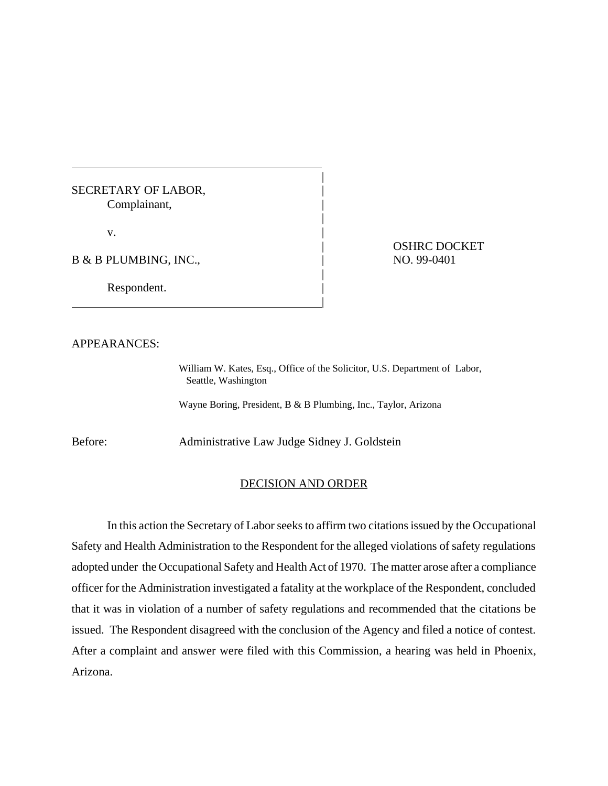## SECRETARY OF LABOR, Complainant, |

 $\mathbf v$ .

B & B PLUMBING, INC.,  $\qquad \qquad | \qquad \qquad \text{NO. 99-0401}$ 

Respondent.

|

| OSHRC DOCKET

## APPEARANCES:

William W. Kates, Esq., Office of the Solicitor, U.S. Department of Labor, Seattle, Washington

|

|

|

Wayne Boring, President, B & B Plumbing, Inc., Taylor, Arizona

Before: Administrative Law Judge Sidney J. Goldstein

## DECISION AND ORDER

In this action the Secretary of Labor seeks to affirm two citations issued by the Occupational Safety and Health Administration to the Respondent for the alleged violations of safety regulations adopted under the Occupational Safety and Health Act of 1970. The matter arose after a compliance officer for the Administration investigated a fatality at the workplace of the Respondent, concluded that it was in violation of a number of safety regulations and recommended that the citations be issued. The Respondent disagreed with the conclusion of the Agency and filed a notice of contest. After a complaint and answer were filed with this Commission, a hearing was held in Phoenix, Arizona.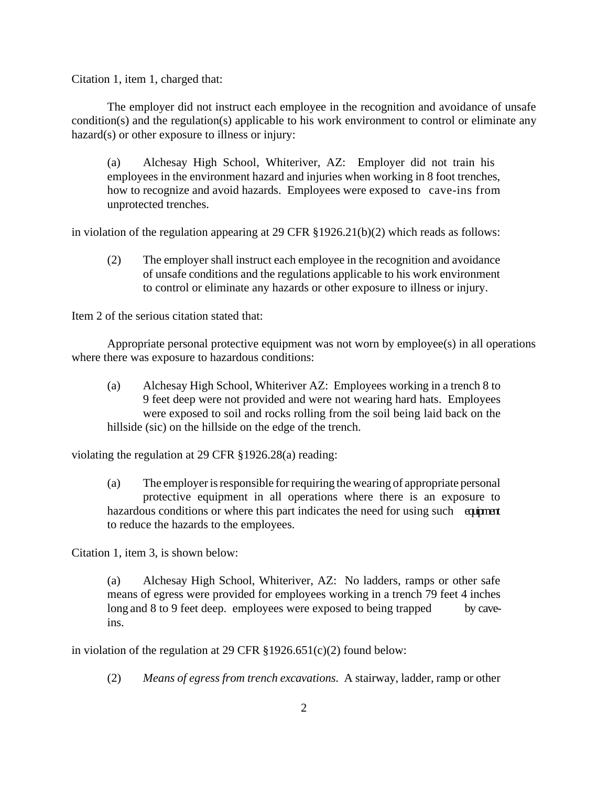Citation 1, item 1, charged that:

The employer did not instruct each employee in the recognition and avoidance of unsafe condition(s) and the regulation(s) applicable to his work environment to control or eliminate any hazard(s) or other exposure to illness or injury:

(a) Alchesay High School, Whiteriver, AZ: Employer did not train his employees in the environment hazard and injuries when working in 8 foot trenches, how to recognize and avoid hazards. Employees were exposed to cave-ins from unprotected trenches.

in violation of the regulation appearing at 29 CFR §1926.21(b)(2) which reads as follows:

(2) The employer shall instruct each employee in the recognition and avoidance of unsafe conditions and the regulations applicable to his work environment to control or eliminate any hazards or other exposure to illness or injury.

Item 2 of the serious citation stated that:

Appropriate personal protective equipment was not worn by employee(s) in all operations where there was exposure to hazardous conditions:

(a) Alchesay High School, Whiteriver AZ: Employees working in a trench 8 to 9 feet deep were not provided and were not wearing hard hats. Employees were exposed to soil and rocks rolling from the soil being laid back on the hillside (sic) on the hillside on the edge of the trench.

violating the regulation at 29 CFR §1926.28(a) reading:

(a) The employer is responsible for requiring the wearing of appropriate personal protective equipment in all operations where there is an exposure to hazardous conditions or where this part indicates the need for using such equipment to reduce the hazards to the employees.

Citation 1, item 3, is shown below:

(a) Alchesay High School, Whiteriver, AZ: No ladders, ramps or other safe means of egress were provided for employees working in a trench 79 feet 4 inches long and 8 to 9 feet deep. employees were exposed to being trapped by caveins.

in violation of the regulation at 29 CFR §1926.651(c)(2) found below:

(2) *Means of egress from trench excavations.* A stairway, ladder, ramp or other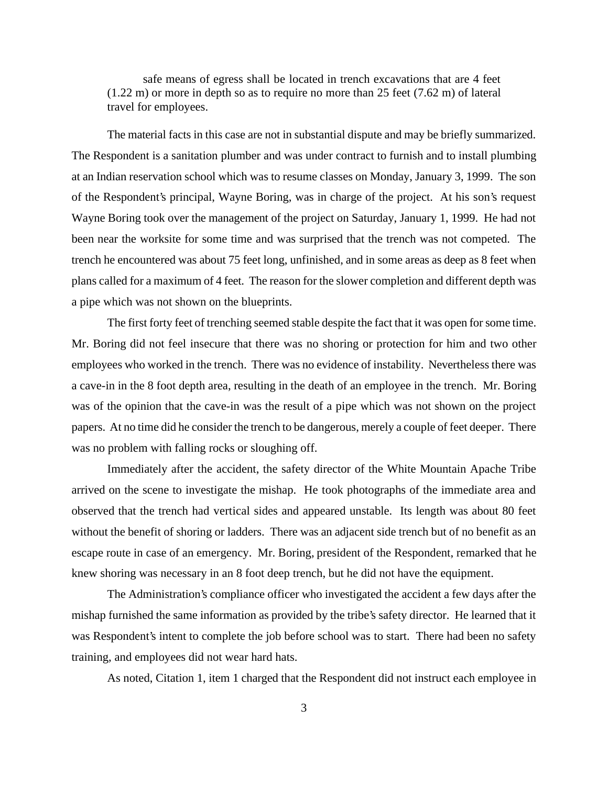safe means of egress shall be located in trench excavations that are 4 feet (1.22 m) or more in depth so as to require no more than 25 feet (7.62 m) of lateral travel for employees.

The material facts in this case are not in substantial dispute and may be briefly summarized. The Respondent is a sanitation plumber and was under contract to furnish and to install plumbing at an Indian reservation school which was to resume classes on Monday, January 3, 1999. The son of the Respondent's principal, Wayne Boring, was in charge of the project. At his son's request Wayne Boring took over the management of the project on Saturday, January 1, 1999. He had not been near the worksite for some time and was surprised that the trench was not competed. The trench he encountered was about 75 feet long, unfinished, and in some areas as deep as 8 feet when plans called for a maximum of 4 feet. The reason for the slower completion and different depth was a pipe which was not shown on the blueprints.

The first forty feet of trenching seemed stable despite the fact that it was open for some time. Mr. Boring did not feel insecure that there was no shoring or protection for him and two other employees who worked in the trench. There was no evidence of instability. Nevertheless there was a cave-in in the 8 foot depth area, resulting in the death of an employee in the trench. Mr. Boring was of the opinion that the cave-in was the result of a pipe which was not shown on the project papers. At no time did he consider the trench to be dangerous, merely a couple of feet deeper. There was no problem with falling rocks or sloughing off.

Immediately after the accident, the safety director of the White Mountain Apache Tribe arrived on the scene to investigate the mishap. He took photographs of the immediate area and observed that the trench had vertical sides and appeared unstable. Its length was about 80 feet without the benefit of shoring or ladders. There was an adjacent side trench but of no benefit as an escape route in case of an emergency. Mr. Boring, president of the Respondent, remarked that he knew shoring was necessary in an 8 foot deep trench, but he did not have the equipment.

The Administration's compliance officer who investigated the accident a few days after the mishap furnished the same information as provided by the tribe's safety director. He learned that it was Respondent's intent to complete the job before school was to start. There had been no safety training, and employees did not wear hard hats.

As noted, Citation 1, item 1 charged that the Respondent did not instruct each employee in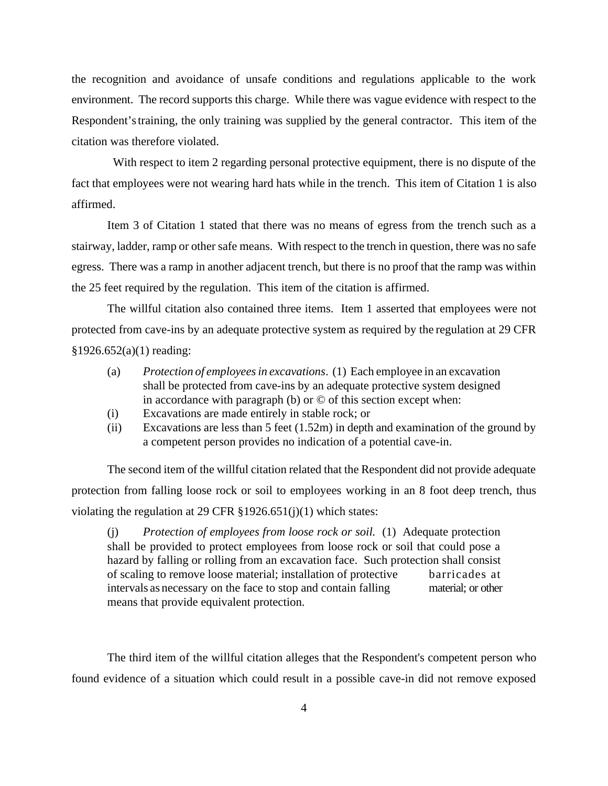the recognition and avoidance of unsafe conditions and regulations applicable to the work environment. The record supports this charge. While there was vague evidence with respect to the Respondent's training, the only training was supplied by the general contractor. This item of the citation was therefore violated.

 With respect to item 2 regarding personal protective equipment, there is no dispute of the fact that employees were not wearing hard hats while in the trench. This item of Citation 1 is also affirmed.

Item 3 of Citation 1 stated that there was no means of egress from the trench such as a stairway, ladder, ramp or other safe means. With respect to the trench in question, there was no safe egress. There was a ramp in another adjacent trench, but there is no proof that the ramp was within the 25 feet required by the regulation. This item of the citation is affirmed.

The willful citation also contained three items. Item 1 asserted that employees were not protected from cave-ins by an adequate protective system as required by the regulation at 29 CFR §1926.652(a)(1) reading:

- (a) *Protection of employees in excavations*. (1) Each employee in an excavation shall be protected from cave-ins by an adequate protective system designed in accordance with paragraph (b) or  $\odot$  of this section except when:
- (i) Excavations are made entirely in stable rock; or
- (ii) Excavations are less than 5 feet (1.52m) in depth and examination of the ground by a competent person provides no indication of a potential cave-in.

The second item of the willful citation related that the Respondent did not provide adequate protection from falling loose rock or soil to employees working in an 8 foot deep trench, thus violating the regulation at 29 CFR §1926.651(j)(1) which states:

(j) *Protection of employees from loose rock or soil.* (1) Adequate protection shall be provided to protect employees from loose rock or soil that could pose a hazard by falling or rolling from an excavation face. Such protection shall consist of scaling to remove loose material; installation of protective barricades at intervals as necessary on the face to stop and contain falling material; or other means that provide equivalent protection.

The third item of the willful citation alleges that the Respondent's competent person who found evidence of a situation which could result in a possible cave-in did not remove exposed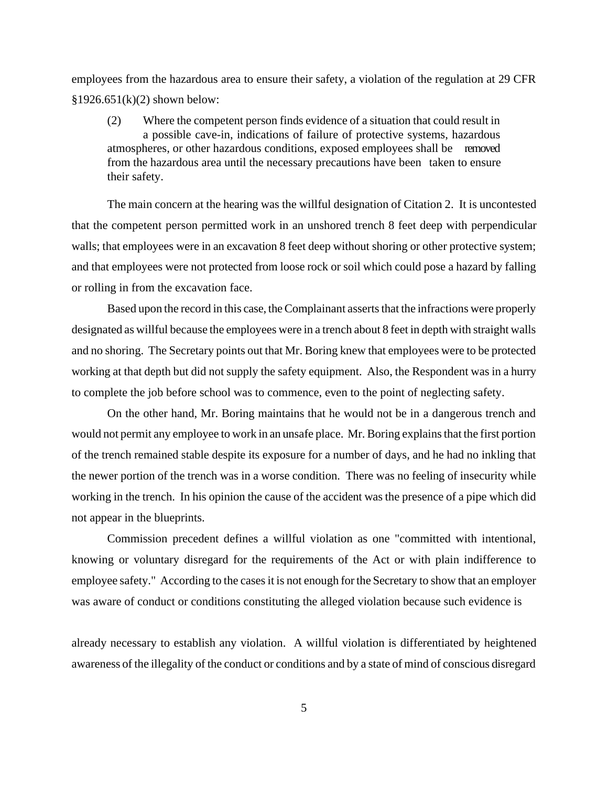employees from the hazardous area to ensure their safety, a violation of the regulation at 29 CFR  $$1926.651(k)(2)$  shown below:

(2) Where the competent person finds evidence of a situation that could result in a possible cave-in, indications of failure of protective systems, hazardous atmospheres, or other hazardous conditions, exposed employees shall be removed from the hazardous area until the necessary precautions have been taken to ensure their safety.

The main concern at the hearing was the willful designation of Citation 2. It is uncontested that the competent person permitted work in an unshored trench 8 feet deep with perpendicular walls; that employees were in an excavation 8 feet deep without shoring or other protective system; and that employees were not protected from loose rock or soil which could pose a hazard by falling or rolling in from the excavation face.

Based upon the record in this case, the Complainant asserts that the infractions were properly designated as willful because the employees were in a trench about 8 feet in depth with straight walls and no shoring. The Secretary points out that Mr. Boring knew that employees were to be protected working at that depth but did not supply the safety equipment. Also, the Respondent was in a hurry to complete the job before school was to commence, even to the point of neglecting safety.

On the other hand, Mr. Boring maintains that he would not be in a dangerous trench and would not permit any employee to work in an unsafe place. Mr. Boring explains that the first portion of the trench remained stable despite its exposure for a number of days, and he had no inkling that the newer portion of the trench was in a worse condition. There was no feeling of insecurity while working in the trench. In his opinion the cause of the accident was the presence of a pipe which did not appear in the blueprints.

Commission precedent defines a willful violation as one "committed with intentional, knowing or voluntary disregard for the requirements of the Act or with plain indifference to employee safety." According to the cases it is not enough for the Secretary to show that an employer was aware of conduct or conditions constituting the alleged violation because such evidence is

already necessary to establish any violation. A willful violation is differentiated by heightened awareness of the illegality of the conduct or conditions and by a state of mind of conscious disregard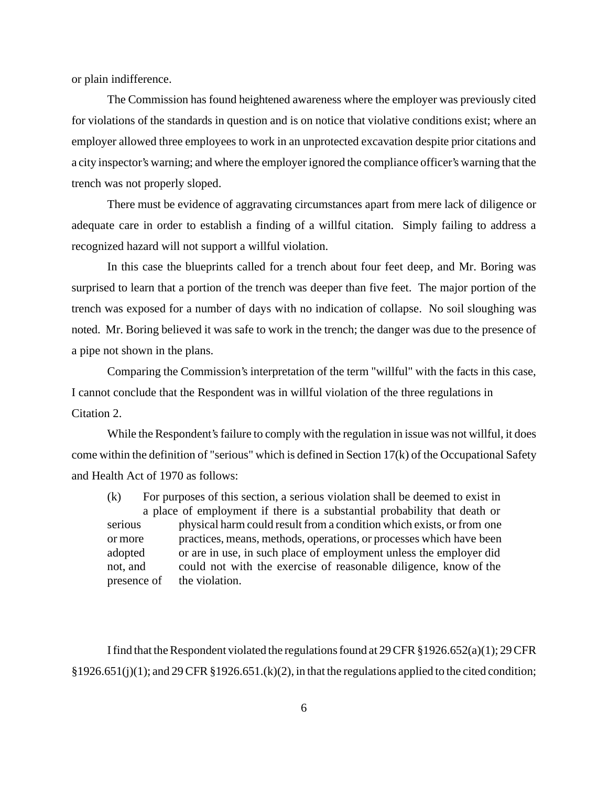or plain indifference.

The Commission has found heightened awareness where the employer was previously cited for violations of the standards in question and is on notice that violative conditions exist; where an employer allowed three employees to work in an unprotected excavation despite prior citations and a city inspector's warning; and where the employer ignored the compliance officer's warning that the trench was not properly sloped.

There must be evidence of aggravating circumstances apart from mere lack of diligence or adequate care in order to establish a finding of a willful citation. Simply failing to address a recognized hazard will not support a willful violation.

In this case the blueprints called for a trench about four feet deep, and Mr. Boring was surprised to learn that a portion of the trench was deeper than five feet. The major portion of the trench was exposed for a number of days with no indication of collapse. No soil sloughing was noted. Mr. Boring believed it was safe to work in the trench; the danger was due to the presence of a pipe not shown in the plans.

Comparing the Commission's interpretation of the term "willful" with the facts in this case, I cannot conclude that the Respondent was in willful violation of the three regulations in Citation 2.

While the Respondent's failure to comply with the regulation in issue was not willful, it does come within the definition of "serious" which is defined in Section 17(k) of the Occupational Safety and Health Act of 1970 as follows:

(k) For purposes of this section, a serious violation shall be deemed to exist in a place of employment if there is a substantial probability that death or serious physical harm could result from a condition which exists, or from one or more practices, means, methods, operations, or processes which have been adopted or are in use, in such place of employment unless the employer did not, and could not with the exercise of reasonable diligence, know of the presence of the violation.

I find that the Respondent violated the regulations found at 29 CFR  $\S 1926.652(a)(1); 29$  CFR  $§1926.651(j)(1);$  and 29 CFR  $§1926.651(k)(2)$ , in that the regulations applied to the cited condition;